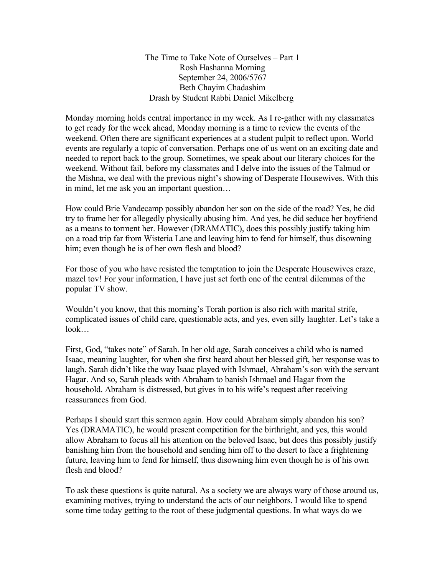The Time to Take Note of Ourselves – Part 1 Rosh Hashanna Morning September 24, 2006/5767 Beth Chayim Chadashim Drash by Student Rabbi Daniel Mikelberg

Monday morning holds central importance in my week. As I re-gather with my classmates to get ready for the week ahead, Monday morning is a time to review the events of the weekend. Often there are significant experiences at a student pulpit to reflect upon. World events are regularly a topic of conversation. Perhaps one of us went on an exciting date and needed to report back to the group. Sometimes, we speak about our literary choices for the weekend. Without fail, before my classmates and I delve into the issues of the Talmud or the Mishna, we deal with the previous night's showing of Desperate Housewives. With this in mind, let me ask you an important question…

How could Brie Vandecamp possibly abandon her son on the side of the road? Yes, he did try to frame her for allegedly physically abusing him. And yes, he did seduce her boyfriend as a means to torment her. However (DRAMATIC), does this possibly justify taking him on a road trip far from Wisteria Lane and leaving him to fend for himself, thus disowning him; even though he is of her own flesh and blood?

For those of you who have resisted the temptation to join the Desperate Housewives craze, mazel tov! For your information, I have just set forth one of the central dilemmas of the popular TV show.

Wouldn't you know, that this morning's Torah portion is also rich with marital strife, complicated issues of child care, questionable acts, and yes, even silly laughter. Let's take a look…

First, God, "takes note" of Sarah. In her old age, Sarah conceives a child who is named Isaac, meaning laughter, for when she first heard about her blessed gift, her response was to laugh. Sarah didn't like the way Isaac played with Ishmael, Abraham's son with the servant Hagar. And so, Sarah pleads with Abraham to banish Ishmael and Hagar from the household. Abraham is distressed, but gives in to his wife's request after receiving reassurances from God.

Perhaps I should start this sermon again. How could Abraham simply abandon his son? Yes (DRAMATIC), he would present competition for the birthright, and yes, this would allow Abraham to focus all his attention on the beloved Isaac, but does this possibly justify banishing him from the household and sending him off to the desert to face a frightening future, leaving him to fend for himself, thus disowning him even though he is of his own flesh and blood?

To ask these questions is quite natural. As a society we are always wary of those around us, examining motives, trying to understand the acts of our neighbors. I would like to spend some time today getting to the root of these judgmental questions. In what ways do we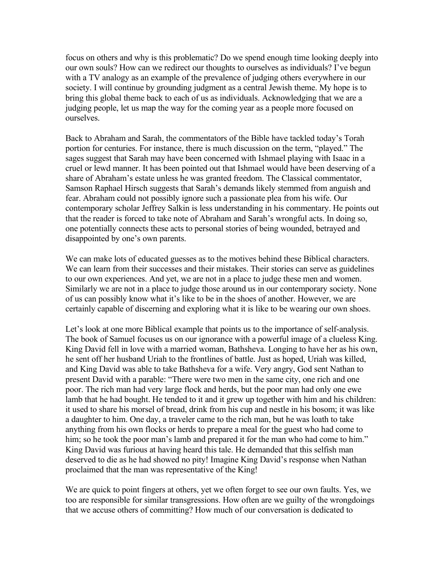focus on others and why is this problematic? Do we spend enough time looking deeply into our own souls? How can we redirect our thoughts to ourselves as individuals? I've begun with a TV analogy as an example of the prevalence of judging others everywhere in our society. I will continue by grounding judgment as a central Jewish theme. My hope is to bring this global theme back to each of us as individuals. Acknowledging that we are a judging people, let us map the way for the coming year as a people more focused on ourselves.

Back to Abraham and Sarah, the commentators of the Bible have tackled today's Torah portion for centuries. For instance, there is much discussion on the term, "played." The sages suggest that Sarah may have been concerned with Ishmael playing with Isaac in a cruel or lewd manner. It has been pointed out that Ishmael would have been deserving of a share of Abraham's estate unless he was granted freedom. The Classical commentator, Samson Raphael Hirsch suggests that Sarah's demands likely stemmed from anguish and fear. Abraham could not possibly ignore such a passionate plea from his wife. Our contemporary scholar Jeffrey Salkin is less understanding in his commentary. He points out that the reader is forced to take note of Abraham and Sarah's wrongful acts. In doing so, one potentially connects these acts to personal stories of being wounded, betrayed and disappointed by one's own parents.

We can make lots of educated guesses as to the motives behind these Biblical characters. We can learn from their successes and their mistakes. Their stories can serve as guidelines to our own experiences. And yet, we are not in a place to judge these men and women. Similarly we are not in a place to judge those around us in our contemporary society. None of us can possibly know what it's like to be in the shoes of another. However, we are certainly capable of discerning and exploring what it is like to be wearing our own shoes.

Let's look at one more Biblical example that points us to the importance of self-analysis. The book of Samuel focuses us on our ignorance with a powerful image of a clueless King. King David fell in love with a married woman, Bathsheva. Longing to have her as his own, he sent off her husband Uriah to the frontlines of battle. Just as hoped, Uriah was killed, and King David was able to take Bathsheva for a wife. Very angry, God sent Nathan to present David with a parable: "There were two men in the same city, one rich and one poor. The rich man had very large flock and herds, but the poor man had only one ewe lamb that he had bought. He tended to it and it grew up together with him and his children: it used to share his morsel of bread, drink from his cup and nestle in his bosom; it was like a daughter to him. One day, a traveler came to the rich man, but he was loath to take anything from his own flocks or herds to prepare a meal for the guest who had come to him; so he took the poor man's lamb and prepared it for the man who had come to him." King David was furious at having heard this tale. He demanded that this selfish man deserved to die as he had showed no pity! Imagine King David's response when Nathan proclaimed that the man was representative of the King!

We are quick to point fingers at others, yet we often forget to see our own faults. Yes, we too are responsible for similar transgressions. How often are we guilty of the wrongdoings that we accuse others of committing? How much of our conversation is dedicated to